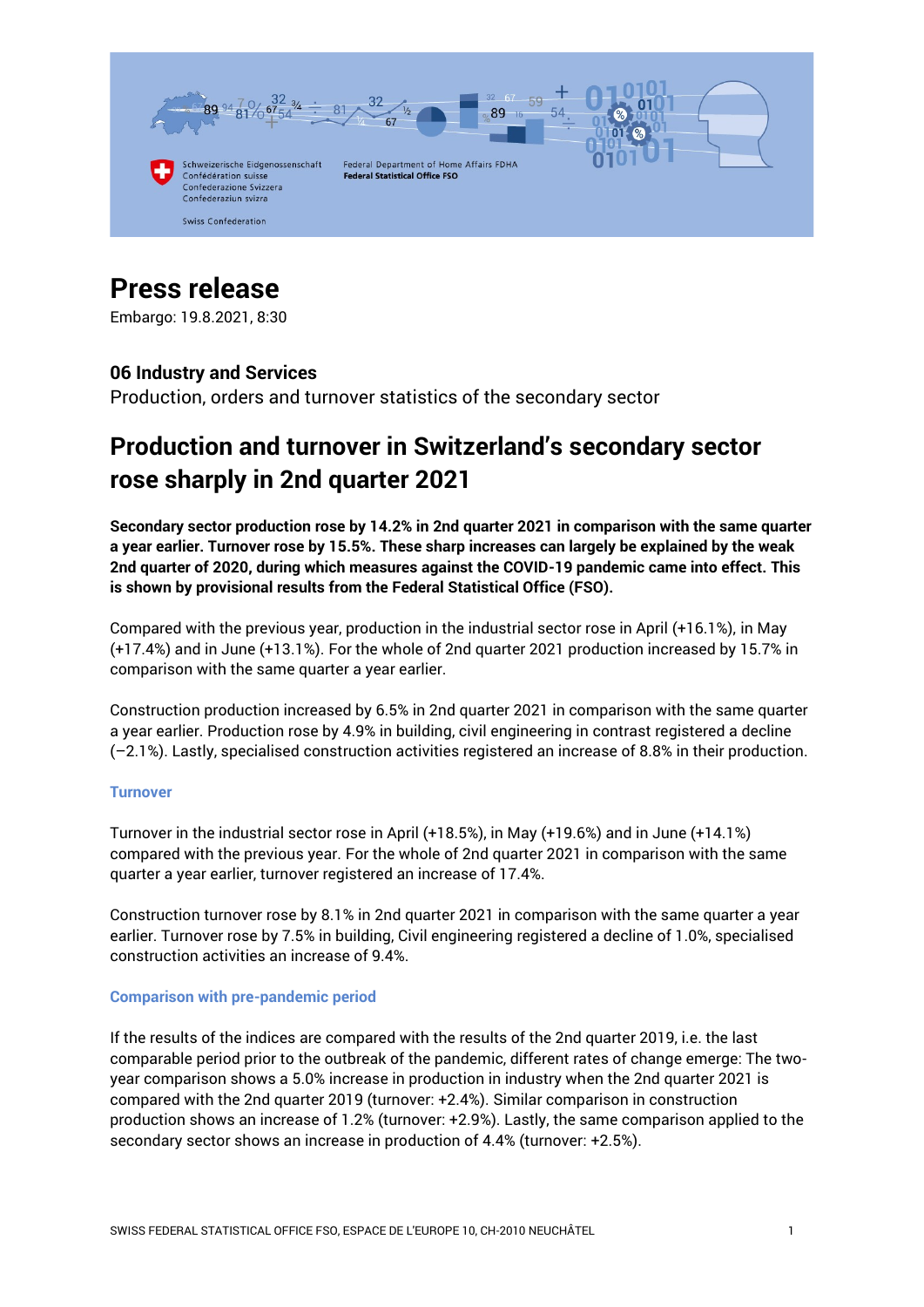

# **Press release**

Embargo: 19.8.2021, 8:30

# **06 Industry and Services**

Production, orders and turnover statistics of the secondary sector

# **Production and turnover in Switzerland's secondary sector rose sharply in 2nd quarter 2021**

**Secondary sector production rose by 14.2% in 2nd quarter 2021 in comparison with the same quarter a year earlier. Turnover rose by 15.5%. These sharp increases can largely be explained by the weak 2nd quarter of 2020, during which measures against the COVID-19 pandemic came into effect. This is shown by provisional results from the Federal Statistical Office (FSO).**

Compared with the previous year, production in the industrial sector rose in April (+16.1%), in May (+17.4%) and in June (+13.1%). For the whole of 2nd quarter 2021 production increased by 15.7% in comparison with the same quarter a year earlier.

Construction production increased by 6.5% in 2nd quarter 2021 in comparison with the same quarter a year earlier. Production rose by 4.9% in building, civil engineering in contrast registered a decline (–2.1%). Lastly, specialised construction activities registered an increase of 8.8% in their production.

#### **Turnover**

Turnover in the industrial sector rose in April (+18.5%), in May (+19.6%) and in June (+14.1%) compared with the previous year. For the whole of 2nd quarter 2021 in comparison with the same quarter a year earlier, turnover registered an increase of 17.4%.

Construction turnover rose by 8.1% in 2nd quarter 2021 in comparison with the same quarter a year earlier. Turnover rose by 7.5% in building, Civil engineering registered a decline of 1.0%, specialised construction activities an increase of 9.4%.

#### **Comparison with pre-pandemic period**

If the results of the indices are compared with the results of the 2nd quarter 2019, i.e. the last comparable period prior to the outbreak of the pandemic, different rates of change emerge: The twoyear comparison shows a 5.0% increase in production in industry when the 2nd quarter 2021 is compared with the 2nd quarter 2019 (turnover: +2.4%). Similar comparison in construction production shows an increase of 1.2% (turnover: +2.9%). Lastly, the same comparison applied to the secondary sector shows an increase in production of 4.4% (turnover: +2.5%).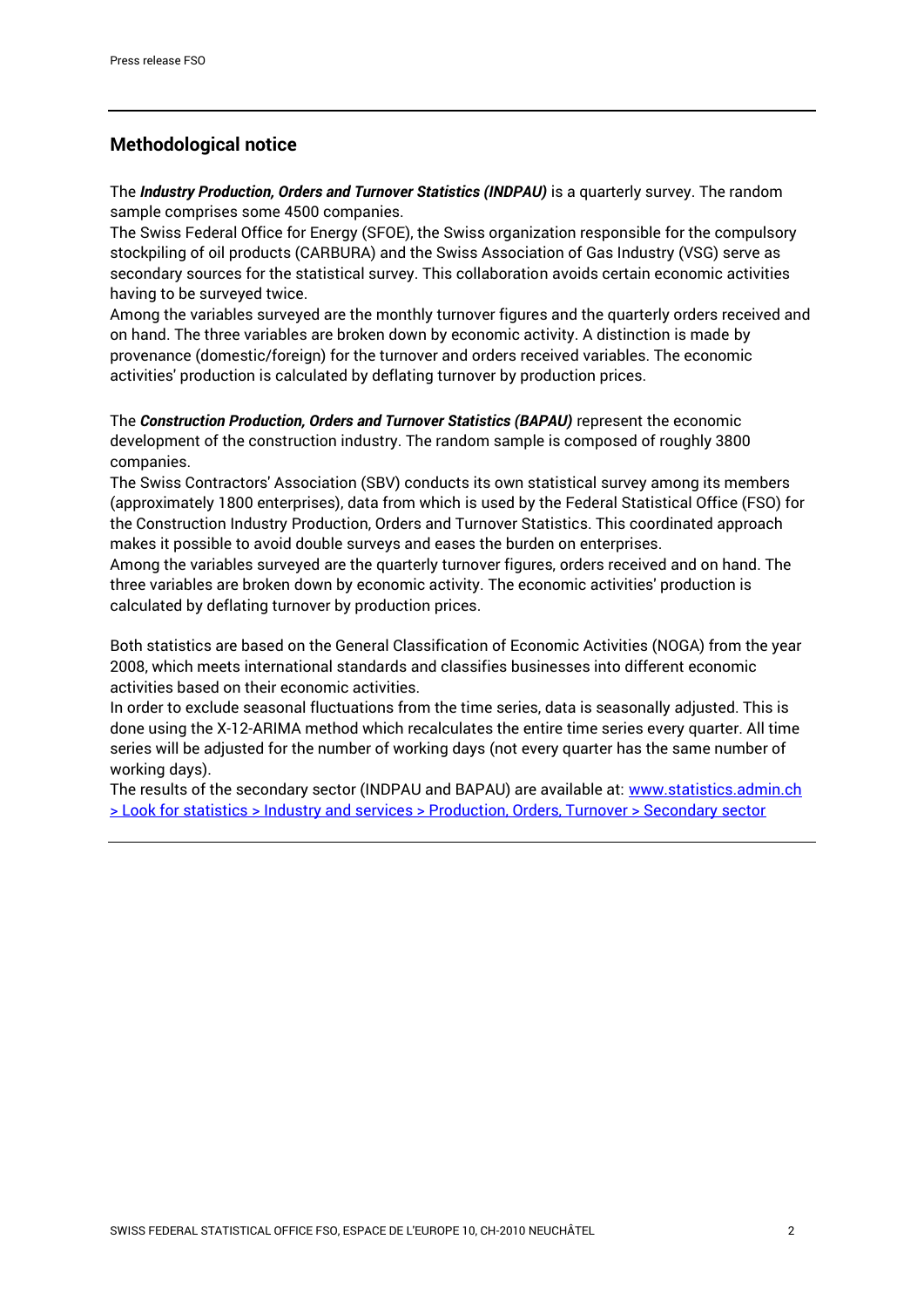## **Methodological notice**

The *Industry Production, Orders and Turnover Statistics (INDPAU)* is a quarterly survey. The random sample comprises some 4500 companies.

The Swiss Federal Office for Energy (SFOE), the Swiss organization responsible for the compulsory stockpiling of oil products (CARBURA) and the Swiss Association of Gas Industry (VSG) serve as secondary sources for the statistical survey. This collaboration avoids certain economic activities having to be surveyed twice.

Among the variables surveyed are the monthly turnover figures and the quarterly orders received and on hand. The three variables are broken down by economic activity. A distinction is made by provenance (domestic/foreign) for the turnover and orders received variables. The economic activities' production is calculated by deflating turnover by production prices.

The *Construction Production, Orders and Turnover Statistics (BAPAU)* represent the economic development of the construction industry. The random sample is composed of roughly 3800 companies.

The Swiss Contractors' Association (SBV) conducts its own statistical survey among its members (approximately 1800 enterprises), data from which is used by the Federal Statistical Office (FSO) for the Construction Industry Production, Orders and Turnover Statistics. This coordinated approach makes it possible to avoid double surveys and eases the burden on enterprises.

Among the variables surveyed are the quarterly turnover figures, orders received and on hand. The three variables are broken down by economic activity. The economic activities' production is calculated by deflating turnover by production prices.

Both statistics are based on the General Classification of Economic Activities (NOGA) from the year 2008, which meets international standards and classifies businesses into different economic activities based on their economic activities.

In order to exclude seasonal fluctuations from the time series, data is seasonally adjusted. This is done using the X-12-ARIMA method which recalculates the entire time series every quarter. All time series will be adjusted for the number of working days (not every quarter has the same number of working days).

The results of the secondary sector (INDPAU and BAPAU) are available at: [www.statistics.admin.ch](https://www.bfs.admin.ch/bfs/en/home/statistics/industry-services/production-orders-turnover/secondary-sector.html)  [> Look for statistics > Industry and services > Production, Orders, Turnover > Secondary sector](https://www.bfs.admin.ch/bfs/en/home/statistics/industry-services/production-orders-turnover/secondary-sector.html)